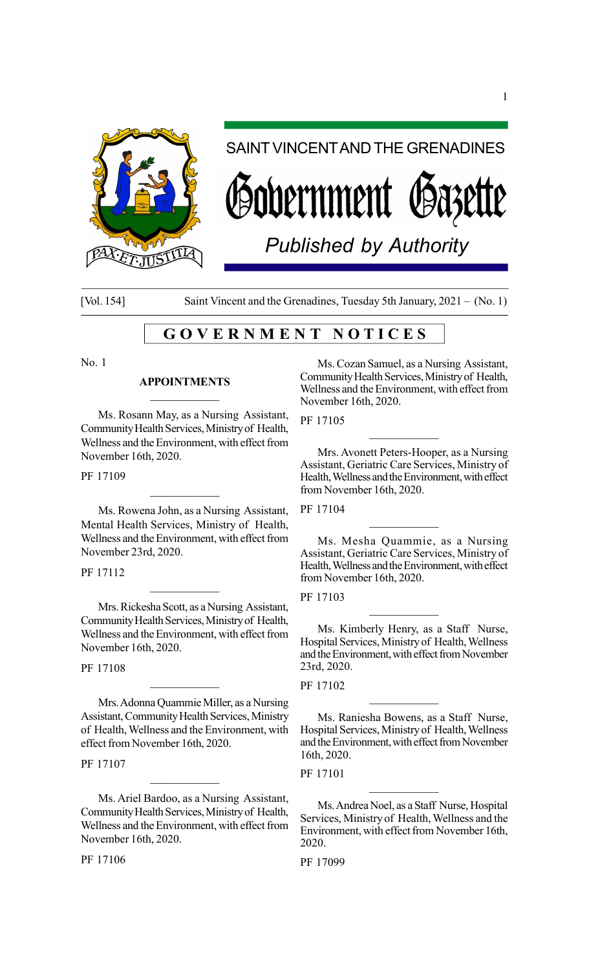

# SAINT VINCENT AND THE GRENADINES

vernment Ø8

*Published by Authority*

[Vol. 154] Saint Vincent and the Grenadines, Tuesday 5th January, 2021 – (No. 1)

# G O V E R N M E N T N O T I C E S

No. 1

### APPOINTMENTS  $\mathcal{L}_\text{max}$

Ms. Rosann May, as a Nursing Assistant, Community Health Services, Ministry of Health, Wellness and the Environment, with effect from November 16th, 2020.

PF 17109

Ms. Rowena John, as a Nursing Assistant, Mental Health Services, Ministry of Health, Wellness and the Environment, with effect from November 23rd, 2020.

PF 17112

Mrs. Rickesha Scott, as a Nursing Assistant, Community Health Services, Ministry of Health, Wellness and the Environment, with effect from November 16th, 2020.

 $\mathcal{L}_\text{max}$ 

PF 17108

Mrs. Adonna Quammie Miller, as a Nursing Assistant, Community Health Services, Ministry of Health, Wellness and the Environment, with effect from November 16th, 2020.

 $\overline{\phantom{a}}$  . The set of the set of the set of the set of the set of the set of the set of the set of the set of the set of the set of the set of the set of the set of the set of the set of the set of the set of the set o

PF 17107

Ms. Ariel Bardoo, as a Nursing Assistant, Community Health Services, Ministry of Health, Wellness and the Environment, with effect from November 16th, 2020.

 $\mathcal{L}_\text{max}$ 

PF 17106

Ms. Cozan Samuel, as a Nursing Assistant, Community Health Services, Ministry of Health, Wellness and the Environment, with effect from November 16th, 2020.

PF 17105

Mrs. Avonett Peters-Hooper, as a Nursing Assistant, Geriatric Care Services, Ministry of Health, Wellness and the Environment, with effect from November 16th, 2020.

 $\mathcal{L}_\text{max}$ 

PF 17104

Ms. Mesha Quammie, as a Nursing Assistant, Geriatric Care Services, Ministry of Health, Wellness and the Environment, with effect from November 16th, 2020.

 $\mathcal{L}_\text{max}$ 

PF 17103

Ms. Kimberly Henry, as a Staff Nurse, Hospital Services, Ministry of Health, Wellness and the Environment, with effect from November 23rd, 2020.

 $\overline{\phantom{a}}$  . The set of the set of the set of the set of the set of the set of the set of the set of the set of the set of the set of the set of the set of the set of the set of the set of the set of the set of the set o

PF 17102

Ms. Raniesha Bowens, as a Staff Nurse, Hospital Services, Ministry of Health, Wellness and the Environment, with effect from November 16th, 2020.

PF 17101

Ms. Andrea Noel, as a Staff Nurse, Hospital Services, Ministry of Health, Wellness and the Environment, with effect from November 16th, 2020.

 $\mathcal{L}_\text{max}$ 

PF 17099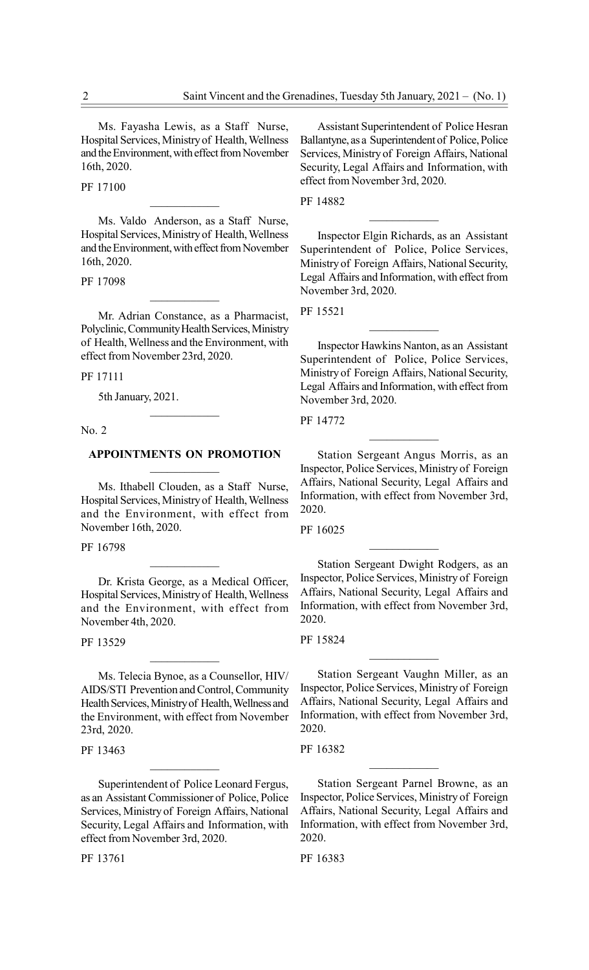Ms. Fayasha Lewis, as a Staff Nurse, Hospital Services, Ministry of Health, Wellness and the Environment, with effect from November 16th, 2020.

PF 17100

Ms. Valdo Anderson, as a Staff Nurse, Hospital Services, Ministry of Health, Wellness and the Environment, with effect from November 16th, 2020.

 $\mathcal{L}_\text{max}$ 

PF 17098

Mr. Adrian Constance, as a Pharmacist, Polyclinic, Community Health Services, Ministry of Health, Wellness and the Environment, with effect from November 23rd, 2020.

 $\mathcal{L}_\text{max}$ 

PF 17111

5th January, 2021.

No. 2

### APPOINTMENTS ON PROMOTION  $\mathcal{L}_\text{max}$

 $\mathcal{L}_\text{max}$ 

Ms. Ithabell Clouden, as a Staff Nurse, Hospital Services, Ministry of Health, Wellness and the Environment, with effect from November 16th, 2020.

PF 16798

Dr. Krista George, as a Medical Officer, Hospital Services, Ministry of Health, Wellness and the Environment, with effect from November 4th, 2020.

 $\overline{\phantom{a}}$  . The set of the set of the set of the set of the set of the set of the set of the set of the set of the set of the set of the set of the set of the set of the set of the set of the set of the set of the set o

PF 13529

Ms. Telecia Bynoe, as a Counsellor, HIV/ AIDS/STI Prevention and Control, Community Health Services, Ministry of Health, Wellness and the Environment, with effect from November 23rd, 2020.

 $\mathcal{L}_\text{max}$ 

PF 13463

Superintendent of Police Leonard Fergus, as an Assistant Commissioner of Police, Police Services, Ministry of Foreign Affairs, National Security, Legal Affairs and Information, with effect from November 3rd, 2020.

 $\mathcal{L}_\text{max}$ 

PF 13761

Assistant Superintendent of Police Hesran Ballantyne, as a Superintendent of Police, Police Services, Ministry of Foreign Affairs, National Security, Legal Affairs and Information, with effect from November 3rd, 2020.

PF 14882

Inspector Elgin Richards, as an Assistant Superintendent of Police, Police Services, Ministry of Foreign Affairs, National Security, Legal Affairs and Information, with effect from November 3rd, 2020.

PF 15521

Inspector Hawkins Nanton, as an Assistant Superintendent of Police, Police Services, Ministry of Foreign Affairs, National Security, Legal Affairs and Information, with effect from November 3rd, 2020.

 $\mathcal{L}_\text{max}$ 

PF 14772

Station Sergeant Angus Morris, as an Inspector, Police Services, Ministry of Foreign Affairs, National Security, Legal Affairs and Information, with effect from November 3rd, 2020.

 $\mathcal{L}_\text{max}$ 

PF 16025

Station Sergeant Dwight Rodgers, as an Inspector, Police Services, Ministry of Foreign Affairs, National Security, Legal Affairs and Information, with effect from November 3rd, 2020.

 $\mathcal{L}_\text{max}$ 

PF 15824

Station Sergeant Vaughn Miller, as an Inspector, Police Services, Ministry of Foreign Affairs, National Security, Legal Affairs and Information, with effect from November 3rd, 2020.

PF 16382

Station Sergeant Parnel Browne, as an Inspector, Police Services, Ministry of Foreign Affairs, National Security, Legal Affairs and Information, with effect from November 3rd, 2020.

 $\mathcal{L}_\text{max}$ 

PF 16383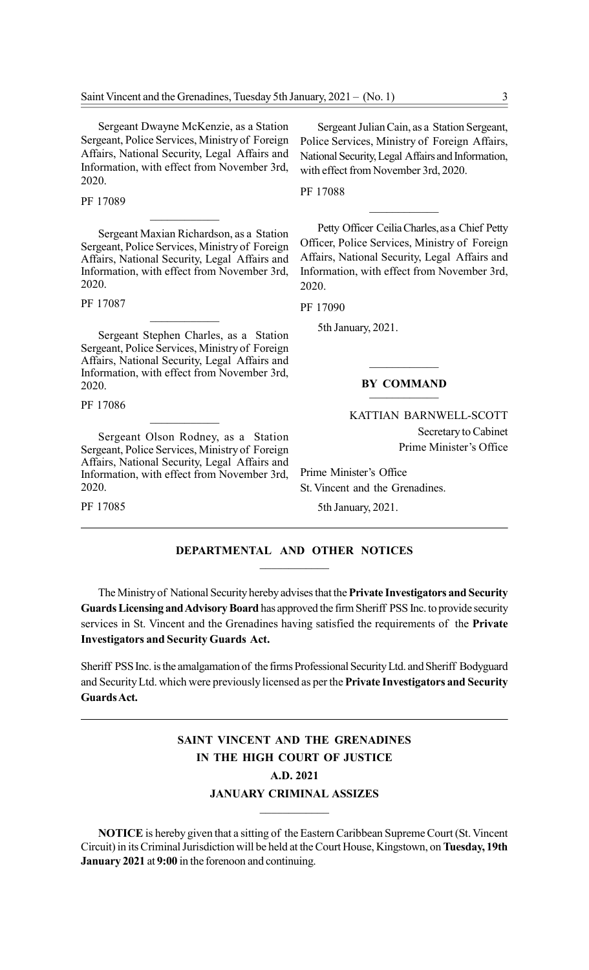Sergeant Dwayne McKenzie, as a Station Sergeant, Police Services, Ministry of Foreign Affairs, National Security, Legal Affairs and Information, with effect from November 3rd, 2020.

PF 17089

Sergeant Maxian Richardson, as a Station Sergeant, Police Services, Ministry of Foreign Affairs, National Security, Legal Affairs and Information, with effect from November 3rd, 2020.

PF 17087

Sergeant Stephen Charles, as a Station Sergeant, Police Services, Ministry of Foreign Affairs, National Security, Legal Affairs and Information, with effect from November 3rd, 2020.

 $\mathcal{L}_\text{max}$ 

PF 17086

Sergeant Olson Rodney, as a Station Sergeant, Police Services, Ministry of Foreign Affairs, National Security, Legal Affairs and Information, with effect from November 3rd, 2020.

 $\mathcal{L}_\text{max}$ 

PF 17085

Sergeant Julian Cain, as a Station Sergeant, Police Services, Ministry of Foreign Affairs, National Security, Legal Affairs and Information, with effect from November 3rd, 2020.

PF 17088

Petty Officer Ceilia Charles, as a Chief Petty Officer, Police Services, Ministry of Foreign Affairs, National Security, Legal Affairs and Information, with effect from November 3rd, 2020.

PF 17090

5th January, 2021.

### BY COMMAND

 $\mathcal{L}_\text{max}$ 

### KATTIAN BARNWELL-SCOTT Secretary to Cabinet Prime Minister's Office

Prime Minister's Office St. Vincent and the Grenadines.

5th January, 2021.

### DEPARTMENTAL AND OTHER NOTICES  $\mathcal{L}_\text{max}$

The Ministry of National Security hereby advises that the Private Investigators and Security Guards Licensing and Advisory Board has approved the firm Sheriff PSS Inc. to provide security services in St. Vincent and the Grenadines having satisfied the requirements of the Private Investigators and Security Guards Act.

Sheriff PSS Inc. is the amalgamation of the firms Professional Security Ltd. and Sheriff Bodyguard and Security Ltd. which were previously licensed as per the Private Investigators and Security Guards Act.

# SAINT VINCENT AND THE GRENADINES IN THE HIGH COURT OF JUSTICE A.D. 2021 JANUARY CRIMINAL ASSIZES

NOTICE is hereby given that a sitting of the Eastern Caribbean Supreme Court (St. Vincent Circuit) in its Criminal Jurisdiction will be held at the Court House, Kingstown, on Tuesday, 19th January 2021 at 9:00 in the forenoon and continuing.

 $\mathcal{L}_\text{max}$